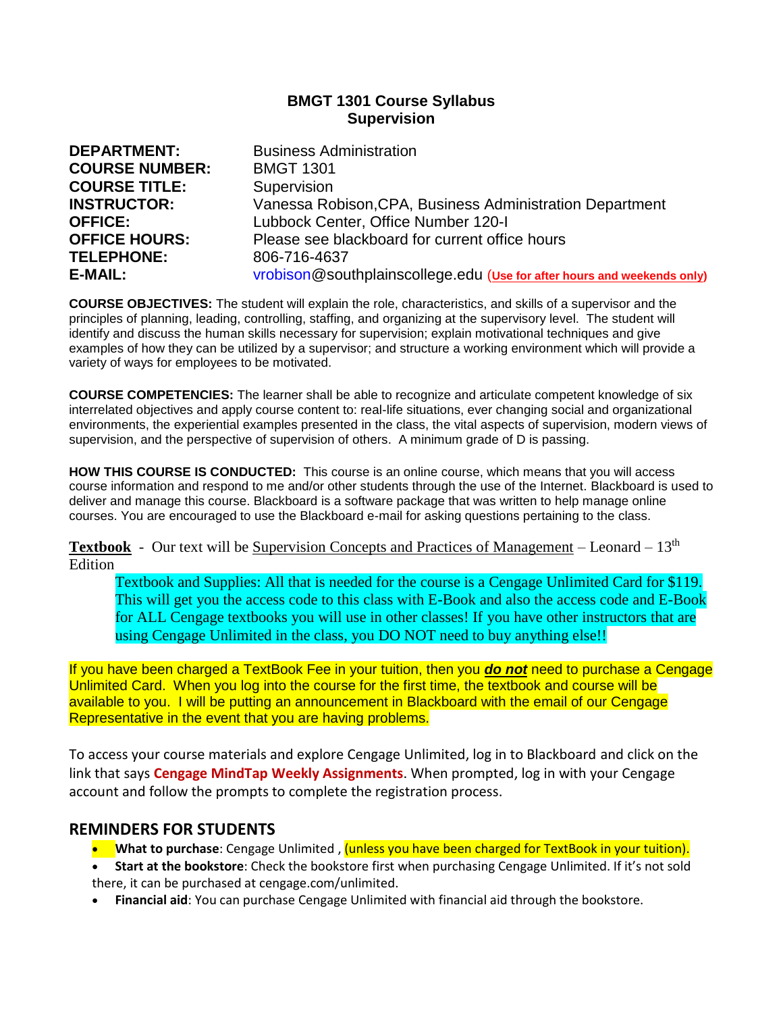# **BMGT 1301 Course Syllabus Supervision**

| <b>DEPARTMENT:</b>    | <b>Business Administration</b>                                          |
|-----------------------|-------------------------------------------------------------------------|
| <b>COURSE NUMBER:</b> | <b>BMGT 1301</b>                                                        |
| <b>COURSE TITLE:</b>  | Supervision                                                             |
| <b>INSTRUCTOR:</b>    | Vanessa Robison, CPA, Business Administration Department                |
| <b>OFFICE:</b>        | Lubbock Center, Office Number 120-1                                     |
| <b>OFFICE HOURS:</b>  | Please see blackboard for current office hours                          |
| <b>TELEPHONE:</b>     | 806-716-4637                                                            |
| E-MAIL:               | vrobison@southplainscollege.edu (Use for after hours and weekends only) |

**COURSE OBJECTIVES:** The student will explain the role, characteristics, and skills of a supervisor and the principles of planning, leading, controlling, staffing, and organizing at the supervisory level. The student will identify and discuss the human skills necessary for supervision; explain motivational techniques and give examples of how they can be utilized by a supervisor; and structure a working environment which will provide a variety of ways for employees to be motivated.

**COURSE COMPETENCIES:** The learner shall be able to recognize and articulate competent knowledge of six interrelated objectives and apply course content to: real-life situations, ever changing social and organizational environments, the experiential examples presented in the class, the vital aspects of supervision, modern views of supervision, and the perspective of supervision of others. A minimum grade of D is passing.

**HOW THIS COURSE IS CONDUCTED:** This course is an online course, which means that you will access course information and respond to me and/or other students through the use of the Internet. Blackboard is used to deliver and manage this course. Blackboard is a software package that was written to help manage online courses. You are encouraged to use the Blackboard e-mail for asking questions pertaining to the class.

**Textbook** -Our text will be Supervision Concepts and Practices of Management – Leonard – 13th Edition

Textbook and Supplies: All that is needed for the course is a Cengage Unlimited Card for \$119. This will get you the access code to this class with E-Book and also the access code and E-Book for ALL Cengage textbooks you will use in other classes! If you have other instructors that are using Cengage Unlimited in the class, you DO NOT need to buy anything else!!

If you have been charged a TextBook Fee in your tuition, then you *do not* need to purchase a Cengage Unlimited Card. When you log into the course for the first time, the textbook and course will be available to you. I will be putting an announcement in Blackboard with the email of our Cengage Representative in the event that you are having problems.

To access your course materials and explore Cengage Unlimited, log in to Blackboard and click on the link that says **Cengage MindTap Weekly Assignments**. When prompted, log in with your Cengage account and follow the prompts to complete the registration process.

# **REMINDERS FOR STUDENTS**

- **What to purchase**: Cengage Unlimited , (unless you have been charged for TextBook in your tuition).
- **Start at the bookstore**: Check the bookstore first when purchasing Cengage Unlimited. If it's not sold there, it can be purchased at [cengage.com/unlimited.](https://www.cengage.com/unlimited)
- **Financial aid**: You can purchase Cengage Unlimited with financial aid through the bookstore.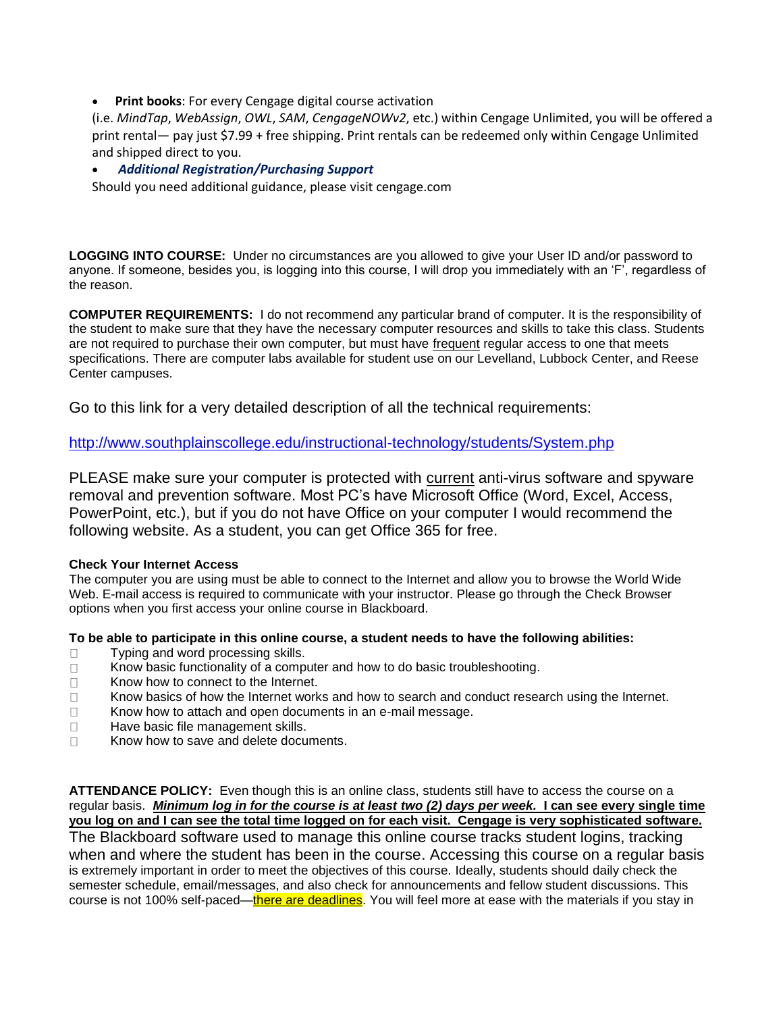**Print books: For every Cengage digital course activation** 

(i.e. *MindTap*, *WebAssign*, *OWL*, *SAM*, *CengageNOWv2*, etc.) within Cengage Unlimited, you will be offered a print rental— pay just \$7.99 + free shipping. Print rentals can be redeemed only within Cengage Unlimited and shipped direct to you.

## • *Additional Registration/Purchasing Support*

Should you need additional guidance, please visit cengage.com

**LOGGING INTO COURSE:** Under no circumstances are you allowed to give your User ID and/or password to anyone. If someone, besides you, is logging into this course, I will drop you immediately with an 'F', regardless of the reason.

**COMPUTER REQUIREMENTS:** I do not recommend any particular brand of computer. It is the responsibility of the student to make sure that they have the necessary computer resources and skills to take this class. Students are not required to purchase their own computer, but must have frequent regular access to one that meets specifications. There are computer labs available for student use on our Levelland, Lubbock Center, and Reese Center campuses.

Go to this link for a very detailed description of all the technical requirements:

<http://www.southplainscollege.edu/instructional-technology/students/System.php>

PLEASE make sure your computer is protected with current anti-virus software and spyware removal and prevention software. Most PC's have Microsoft Office (Word, Excel, Access, PowerPoint, etc.), but if you do not have Office on your computer I would recommend the following website. As a student, you can get Office 365 for free.

### **Check Your Internet Access**

The computer you are using must be able to connect to the Internet and allow you to browse the World Wide Web. E-mail access is required to communicate with your instructor. Please go through the Check Browser options when you first access your online course in Blackboard.

### **To be able to participate in this online course, a student needs to have the following abilities:**

- □ Typing and word processing skills.
- $\Box$  Know basic functionality of a computer and how to do basic troubleshooting.
- □ Know how to connect to the Internet.
- $\Box$  Know basics of how the Internet works and how to search and conduct research using the Internet.
- $\Box$  Know how to attach and open documents in an e-mail message.
- $\Box$  Have basic file management skills.
- $\Box$  Know how to save and delete documents.

**ATTENDANCE POLICY:** Even though this is an online class, students still have to access the course on a regular basis. *Minimum log in for the course is at least two (2) days per week.* **I can see every single time you log on and I can see the total time logged on for each visit. Cengage is very sophisticated software.**  The Blackboard software used to manage this online course tracks student logins, tracking when and where the student has been in the course. Accessing this course on a regular basis is extremely important in order to meet the objectives of this course. Ideally, students should daily check the semester schedule, email/messages, and also check for announcements and fellow student discussions. This course is not 100% self-paced—there are deadlines. You will feel more at ease with the materials if you stay in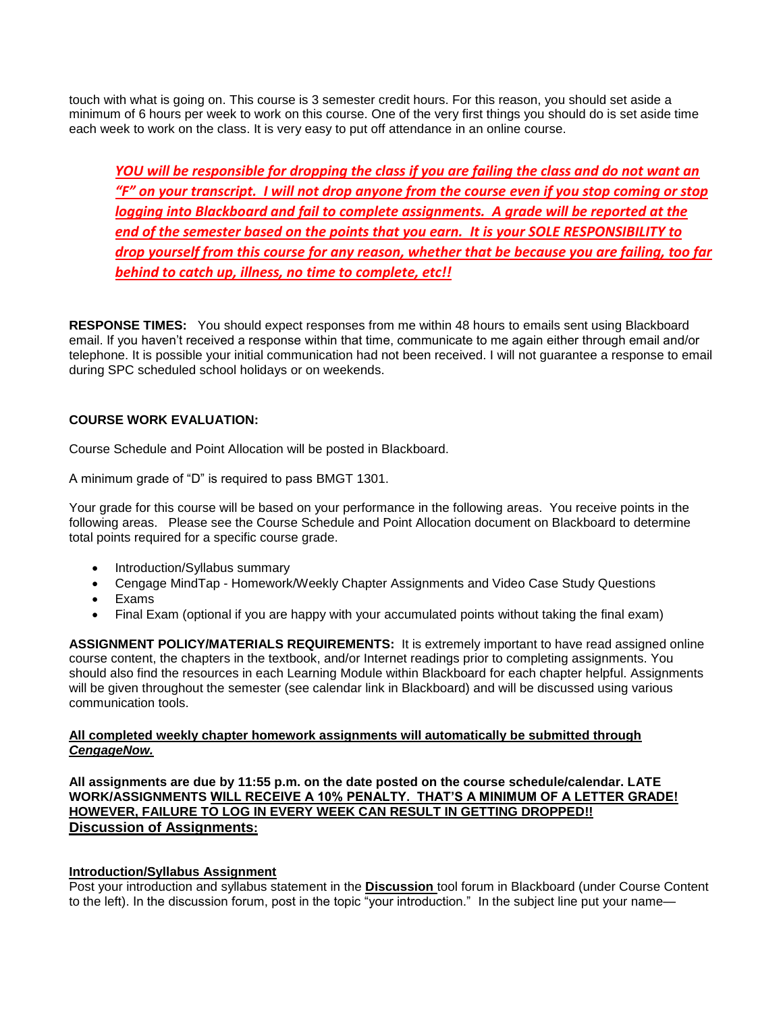touch with what is going on. This course is 3 semester credit hours. For this reason, you should set aside a minimum of 6 hours per week to work on this course. One of the very first things you should do is set aside time each week to work on the class. It is very easy to put off attendance in an online course.

*YOU will be responsible for dropping the class if you are failing the class and do not want an "F" on your transcript. I will not drop anyone from the course even if you stop coming or stop logging into Blackboard and fail to complete assignments. A grade will be reported at the end of the semester based on the points that you earn. It is your SOLE RESPONSIBILITY to drop yourself from this course for any reason, whether that be because you are failing, too far behind to catch up, illness, no time to complete, etc!!*

**RESPONSE TIMES:** You should expect responses from me within 48 hours to emails sent using Blackboard email. If you haven't received a response within that time, communicate to me again either through email and/or telephone. It is possible your initial communication had not been received. I will not guarantee a response to email during SPC scheduled school holidays or on weekends.

## **COURSE WORK EVALUATION:**

Course Schedule and Point Allocation will be posted in Blackboard.

A minimum grade of "D" is required to pass BMGT 1301.

Your grade for this course will be based on your performance in the following areas. You receive points in the following areas. Please see the Course Schedule and Point Allocation document on Blackboard to determine total points required for a specific course grade.

- Introduction/Syllabus summary
- Cengage MindTap Homework/Weekly Chapter Assignments and Video Case Study Questions
- Exams
- Final Exam (optional if you are happy with your accumulated points without taking the final exam)

**ASSIGNMENT POLICY/MATERIALS REQUIREMENTS:** It is extremely important to have read assigned online course content, the chapters in the textbook, and/or Internet readings prior to completing assignments. You should also find the resources in each Learning Module within Blackboard for each chapter helpful. Assignments will be given throughout the semester (see calendar link in Blackboard) and will be discussed using various communication tools.

### **All completed weekly chapter homework assignments will automatically be submitted through**  *CengageNow.*

**All assignments are due by 11:55 p.m. on the date posted on the course schedule/calendar. LATE WORK/ASSIGNMENTS WILL RECEIVE A 10% PENALTY. THAT'S A MINIMUM OF A LETTER GRADE! HOWEVER, FAILURE TO LOG IN EVERY WEEK CAN RESULT IN GETTING DROPPED!! Discussion of Assignments:**

### **Introduction/Syllabus Assignment**

Post your introduction and syllabus statement in the **Discussion** tool forum in Blackboard (under Course Content to the left). In the discussion forum, post in the topic "your introduction." In the subject line put your name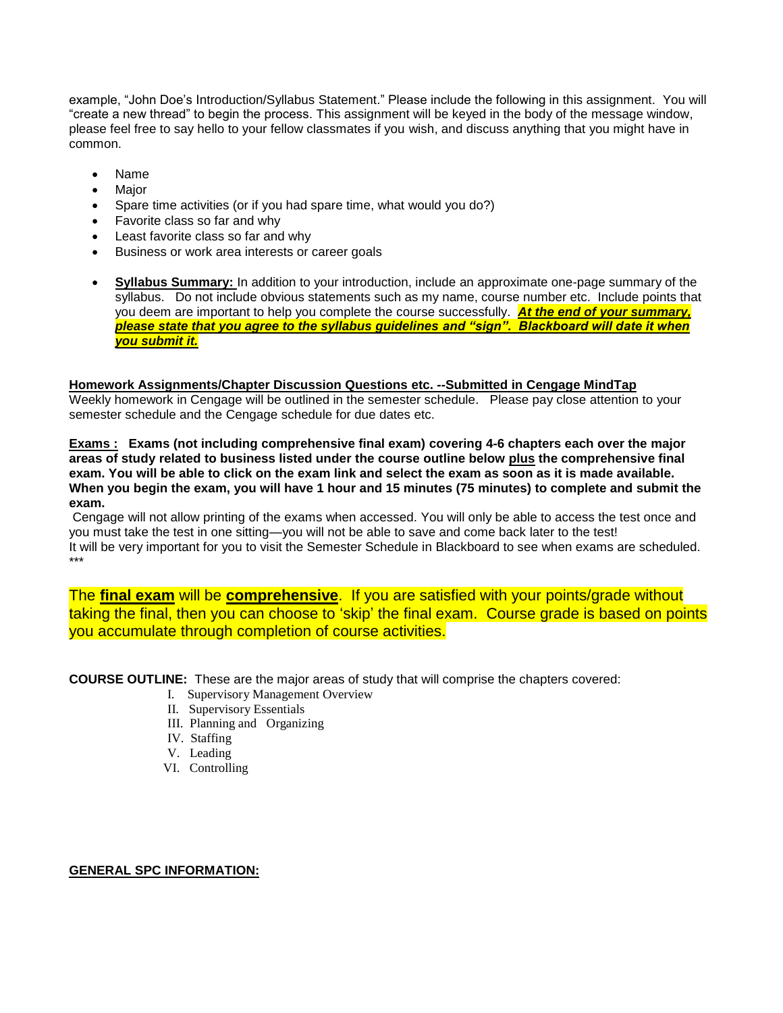example, "John Doe's Introduction/Syllabus Statement." Please include the following in this assignment. You will "create a new thread" to begin the process. This assignment will be keyed in the body of the message window, please feel free to say hello to your fellow classmates if you wish, and discuss anything that you might have in common.

- Name
- **Major**
- Spare time activities (or if you had spare time, what would you do?)
- Favorite class so far and why
- Least favorite class so far and why
- Business or work area interests or career goals
- **Syllabus Summary:** In addition to your introduction, include an approximate one-page summary of the syllabus. Do not include obvious statements such as my name, course number etc. Include points that you deem are important to help you complete the course successfully. *At the end of your summary, please state that you agree to the syllabus guidelines and "sign". Blackboard will date it when you submit it.*

#### **Homework Assignments/Chapter Discussion Questions etc. --Submitted in Cengage MindTap**

Weekly homework in Cengage will be outlined in the semester schedule. Please pay close attention to your semester schedule and the Cengage schedule for due dates etc.

**Exams : Exams (not including comprehensive final exam) covering 4-6 chapters each over the major areas of study related to business listed under the course outline below plus the comprehensive final exam. You will be able to click on the exam link and select the exam as soon as it is made available. When you begin the exam, you will have 1 hour and 15 minutes (75 minutes) to complete and submit the exam.**

Cengage will not allow printing of the exams when accessed. You will only be able to access the test once and you must take the test in one sitting—you will not be able to save and come back later to the test! It will be very important for you to visit the Semester Schedule in Blackboard to see when exams are scheduled. \*\*\*

The **final exam** will be **comprehensive**. If you are satisfied with your points/grade without taking the final, then you can choose to 'skip' the final exam. Course grade is based on points you accumulate through completion of course activities.

**COURSE OUTLINE:** These are the major areas of study that will comprise the chapters covered:

- I. Supervisory Management Overview
- II. Supervisory Essentials
- III. Planning and Organizing
- IV. Staffing
- V. Leading
- VI. Controlling

### **GENERAL SPC INFORMATION:**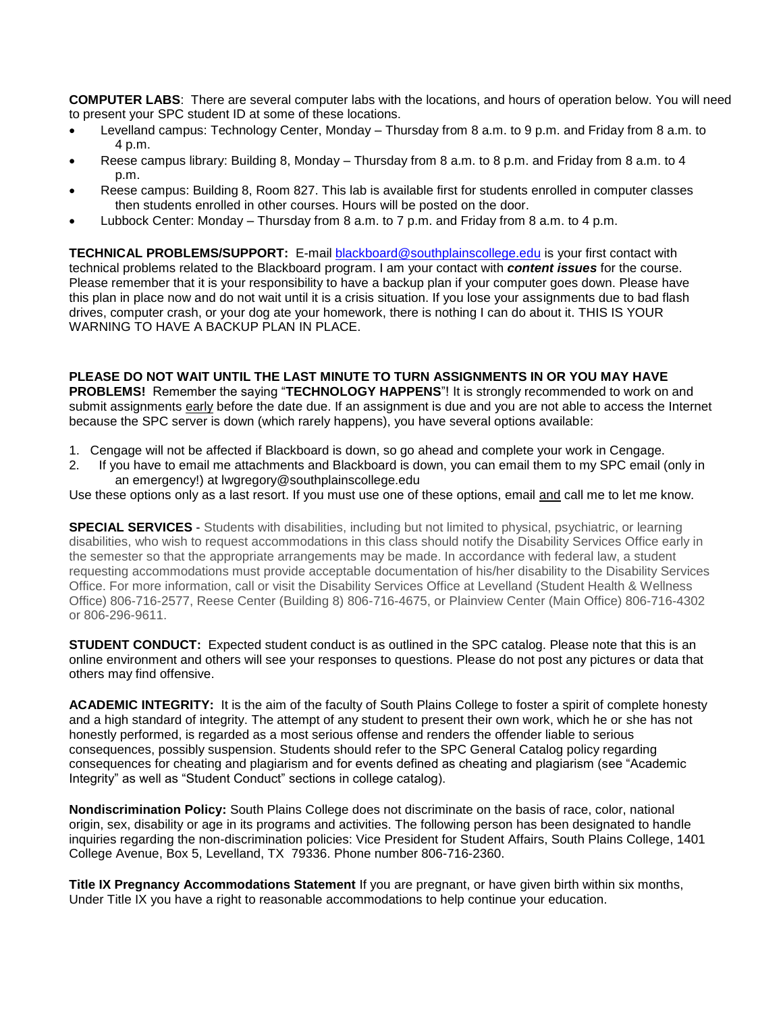**COMPUTER LABS**: There are several computer labs with the locations, and hours of operation below. You will need to present your SPC student ID at some of these locations.

- Levelland campus: Technology Center, Monday Thursday from 8 a.m. to 9 p.m. and Friday from 8 a.m. to 4 p.m.
- Reese campus library: Building 8, Monday Thursday from 8 a.m. to 8 p.m. and Friday from 8 a.m. to 4 p.m.
- Reese campus: Building 8, Room 827. This lab is available first for students enrolled in computer classes then students enrolled in other courses. Hours will be posted on the door.
- Lubbock Center: Monday Thursday from 8 a.m. to 7 p.m. and Friday from 8 a.m. to 4 p.m.

**TECHNICAL PROBLEMS/SUPPORT:** E-mail [blackboard@southplainscollege.edu](mailto:blackboard@southplainscollege.edu) is your first contact with technical problems related to the Blackboard program. I am your contact with *content issues* for the course. Please remember that it is your responsibility to have a backup plan if your computer goes down. Please have this plan in place now and do not wait until it is a crisis situation. If you lose your assignments due to bad flash drives, computer crash, or your dog ate your homework, there is nothing I can do about it. THIS IS YOUR WARNING TO HAVE A BACKUP PLAN IN PLACE.

### **PLEASE DO NOT WAIT UNTIL THE LAST MINUTE TO TURN ASSIGNMENTS IN OR YOU MAY HAVE**

**PROBLEMS!** Remember the saying "**TECHNOLOGY HAPPENS**"! It is strongly recommended to work on and submit assignments early before the date due. If an assignment is due and you are not able to access the Internet because the SPC server is down (which rarely happens), you have several options available:

- 1. Cengage will not be affected if Blackboard is down, so go ahead and complete your work in Cengage.
- 2. If you have to email me attachments and Blackboard is down, you can email them to my SPC email (only in an emergency!) at lwgregory@southplainscollege.edu

Use these options only as a last resort. If you must use one of these options, email and call me to let me know.

**SPECIAL SERVICES** - Students with disabilities, including but not limited to physical, psychiatric, or learning disabilities, who wish to request accommodations in this class should notify the Disability Services Office early in the semester so that the appropriate arrangements may be made. In accordance with federal law, a student requesting accommodations must provide acceptable documentation of his/her disability to the Disability Services Office. For more information, call or visit the Disability Services Office at Levelland (Student Health & Wellness Office) 806-716-2577, Reese Center (Building 8) 806-716-4675, or Plainview Center (Main Office) 806-716-4302 or 806-296-9611.

**STUDENT CONDUCT:** Expected student conduct is as outlined in the SPC catalog. Please note that this is an online environment and others will see your responses to questions. Please do not post any pictures or data that others may find offensive.

**ACADEMIC INTEGRITY:** It is the aim of the faculty of South Plains College to foster a spirit of complete honesty and a high standard of integrity. The attempt of any student to present their own work, which he or she has not honestly performed, is regarded as a most serious offense and renders the offender liable to serious consequences, possibly suspension. Students should refer to the SPC General Catalog policy regarding consequences for cheating and plagiarism and for events defined as cheating and plagiarism (see "Academic Integrity" as well as "Student Conduct" sections in college catalog).

**Nondiscrimination Policy:** South Plains College does not discriminate on the basis of race, color, national origin, sex, disability or age in its programs and activities. The following person has been designated to handle inquiries regarding the non-discrimination policies: Vice President for Student Affairs, South Plains College, 1401 College Avenue, Box 5, Levelland, TX 79336. Phone number 806-716-2360.

**Title IX Pregnancy Accommodations Statement** If you are pregnant, or have given birth within six months, Under Title IX you have a right to reasonable accommodations to help continue your education.